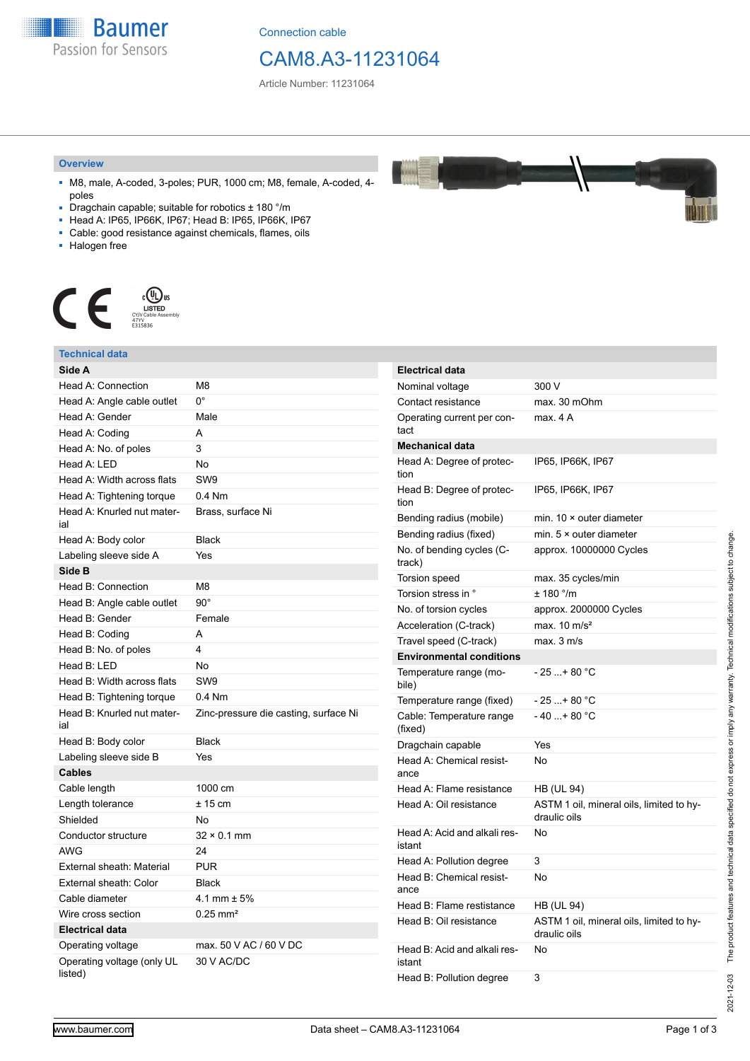**Baumer** Passion for Sensors

Connection cable

## CAM8.A3-11231064

Article Number: 11231064

#### **Overview**

- M8, male, A-coded, 3-poles; PUR, 1000 cm; M8, female, A-coded, 4 poles
- Dragchain capable; suitable for robotics ± 180 °/m
- Head A: IP65, IP66K, IP67; Head B: IP65, IP66K, IP67
- Cable: good resistance against chemicals, flames, oils
- Halogen free



|  | Technical data                        |                                       |                                        |                                                          |
|--|---------------------------------------|---------------------------------------|----------------------------------------|----------------------------------------------------------|
|  | Side A                                |                                       | <b>Electrical data</b>                 |                                                          |
|  | Head A: Connection                    | M <sub>8</sub>                        | Nominal voltage                        | 300 V                                                    |
|  | Head A: Angle cable outlet            | $0^{\circ}$                           | Contact resistance                     | max. 30 mOhm                                             |
|  | Head A: Gender                        | Male                                  | Operating current per con-             | max. 4A                                                  |
|  | Head A: Coding                        | A                                     | tact                                   |                                                          |
|  | Head A: No. of poles                  | 3                                     | <b>Mechanical data</b>                 |                                                          |
|  | Head A: LED                           | No                                    | Head A: Degree of protec-              | IP65, IP66K, IP67                                        |
|  | Head A: Width across flats            | SW <sub>9</sub>                       | tion                                   |                                                          |
|  | Head A: Tightening torque             | $0.4$ Nm                              | Head B: Degree of protec-<br>tion      | IP65, IP66K, IP67                                        |
|  | Head A: Knurled nut mater-<br>ial     | Brass, surface Ni                     | Bending radius (mobile)                | min. $10 \times$ outer diameter                          |
|  | Head A: Body color                    | <b>Black</b>                          | Bending radius (fixed)                 | min. $5 \times$ outer diameter                           |
|  | Labeling sleeve side A                | Yes                                   | No. of bending cycles (C-<br>track)    | approx. 10000000 Cycles                                  |
|  | Side B                                |                                       | Torsion speed                          | max. 35 cycles/min                                       |
|  | Head B: Connection                    | M <sub>8</sub><br>$90^{\circ}$        | Torsion stress in °                    | ± 180 °/m                                                |
|  | Head B: Angle cable outlet            |                                       | No. of torsion cycles                  | approx. 2000000 Cycles                                   |
|  | Head B: Gender                        | Female                                | Acceleration (C-track)                 | max. $10 \text{ m/s}^2$                                  |
|  | Head B: Coding                        | A                                     | Travel speed (C-track)                 | max. 3 m/s                                               |
|  | Head B: No. of poles                  | 4                                     | <b>Environmental conditions</b>        |                                                          |
|  | Head B: LED                           | <b>No</b>                             | Temperature range (mo-                 | $-25+80 °C$                                              |
|  | Head B: Width across flats            | SW <sub>9</sub>                       | bile)                                  |                                                          |
|  | Head B: Tightening torque             | $0.4$ Nm                              | Temperature range (fixed)              | $-25+80 °C$                                              |
|  | Head B: Knurled nut mater-<br>ial     | Zinc-pressure die casting, surface Ni | Cable: Temperature range<br>(fixed)    | $-40+80 °C$                                              |
|  | Head B: Body color                    | <b>Black</b>                          | Dragchain capable                      | Yes                                                      |
|  | Labeling sleeve side B                | Yes                                   | Head A: Chemical resist-               | No                                                       |
|  | <b>Cables</b>                         |                                       | ance                                   |                                                          |
|  | Cable length                          | 1000 cm                               | Head A: Flame resistance               | <b>HB (UL 94)</b>                                        |
|  | Length tolerance                      | $± 15$ cm                             | Head A: Oil resistance                 | ASTM 1 oil, mineral oils, limited to hy-<br>draulic oils |
|  | Shielded                              | No                                    |                                        |                                                          |
|  | Conductor structure                   | $32 \times 0.1$ mm                    | Head A: Acid and alkali res-<br>istant | No                                                       |
|  | <b>AWG</b>                            | 24                                    | Head A: Pollution degree               | 3                                                        |
|  | External sheath: Material             | <b>PUR</b>                            | Head B: Chemical resist-               | No                                                       |
|  | External sheath: Color                | <b>Black</b>                          | ance                                   |                                                          |
|  | Cable diameter                        | 4.1 mm $\pm$ 5%                       | Head B: Flame restistance              | <b>HB (UL 94)</b>                                        |
|  | Wire cross section                    | $0.25$ mm <sup>2</sup>                | Head B: Oil resistance                 | ASTM 1 oil, mineral oils, limited to hy-                 |
|  | <b>Electrical data</b>                |                                       |                                        | draulic oils                                             |
|  | Operating voltage                     | max. 50 V AC / 60 V DC                | Head B: Acid and alkali res-           | No                                                       |
|  | Operating voltage (only UL<br>listed) | 30 V AC/DC                            | istant<br>Head B: Pollution degree     | 3                                                        |
|  |                                       |                                       |                                        |                                                          |

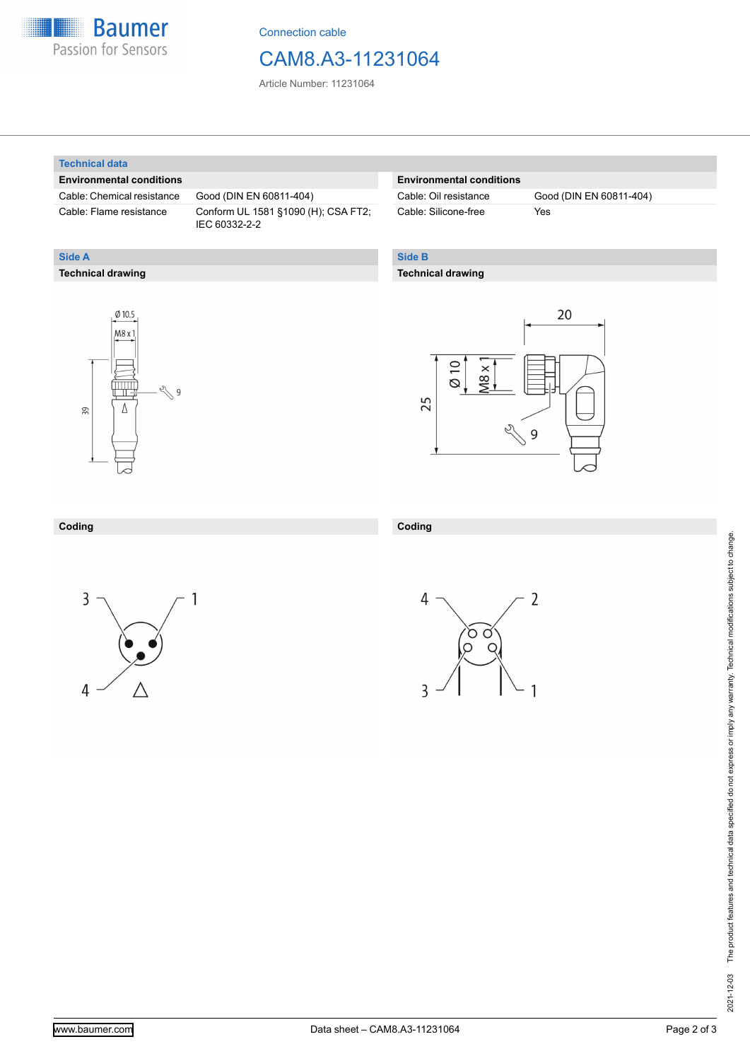

Connection cable

### CAM8.A3-11231064

Article Number: 11231064

#### **Technical data**

**Technical drawing**

**Side A**

#### **Environmental conditions**

Cable: Chemical resistance Good (DIN EN 60811-404)

Cable: Flame resistance Conform UL 1581 §1090 (H); CSA FT2; IEC 60332-2-2

#### **Environmental conditions**

Cable: Silicone-free Yes

Cable: Oil resistance Good (DIN EN 60811-404)

### **Side B**

**Coding**

3

#### **Technical drawing**





#### **Coding**